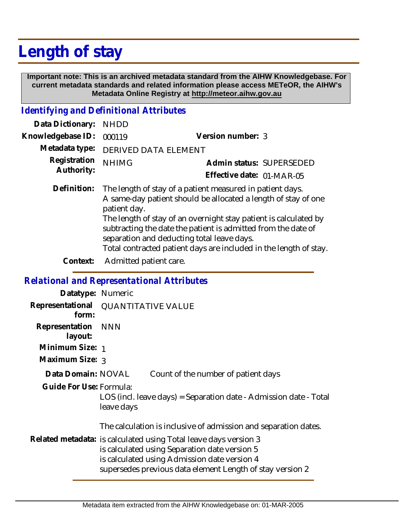# **Length of stay**

 **Important note: This is an archived metadata standard from the AIHW Knowledgebase. For current metadata standards and related information please access METeOR, the AIHW's Metadata Online Registry at http://meteor.aihw.gov.au**

### *Identifying and Definitional Attributes*

| Data Dictionary:  | <b>NHDD</b>                                                                                                                                                                                                                                                                                                                                                                                         |                           |
|-------------------|-----------------------------------------------------------------------------------------------------------------------------------------------------------------------------------------------------------------------------------------------------------------------------------------------------------------------------------------------------------------------------------------------------|---------------------------|
| Knowledgebase ID: | 000119                                                                                                                                                                                                                                                                                                                                                                                              | Version number: 3         |
| Metadata type:    | <b>DERIVED DATA ELEMENT</b>                                                                                                                                                                                                                                                                                                                                                                         |                           |
| Registration      | <b>NHIMG</b>                                                                                                                                                                                                                                                                                                                                                                                        | Admin status: SUPERSEDED  |
| Authority:        |                                                                                                                                                                                                                                                                                                                                                                                                     | Effective date: 01-MAR-05 |
| Definition:       | The length of stay of a patient measured in patient days.<br>A same-day patient should be allocated a length of stay of one<br>patient day.<br>The length of stay of an overnight stay patient is calculated by<br>subtracting the date the patient is admitted from the date of<br>separation and deducting total leave days.<br>Total contracted patient days are included in the length of stay. |                           |
| Context:          | Admitted patient care.                                                                                                                                                                                                                                                                                                                                                                              |                           |

### *Relational and Representational Attributes*

| Datatype: Numeric             |                                                                                                                                                                                                                                                                                                   |  |
|-------------------------------|---------------------------------------------------------------------------------------------------------------------------------------------------------------------------------------------------------------------------------------------------------------------------------------------------|--|
| form:                         | Representational QUANTITATIVE VALUE                                                                                                                                                                                                                                                               |  |
| Representation NNN<br>layout: |                                                                                                                                                                                                                                                                                                   |  |
| Minimum Size: 1               |                                                                                                                                                                                                                                                                                                   |  |
| Maximum Size: 3               |                                                                                                                                                                                                                                                                                                   |  |
| Data Domain: NOVAL            | Count of the number of patient days                                                                                                                                                                                                                                                               |  |
| Guide For Use: Formula:       | LOS (incl. leave days) = Separation date - Admission date - Total<br>leave days                                                                                                                                                                                                                   |  |
|                               | The calculation is inclusive of admission and separation dates.<br>Related metadata: is calculated using Total leave days version 3<br>is calculated using Separation date version 5<br>is calculated using Admission date version 4<br>supersedes previous data element Length of stay version 2 |  |